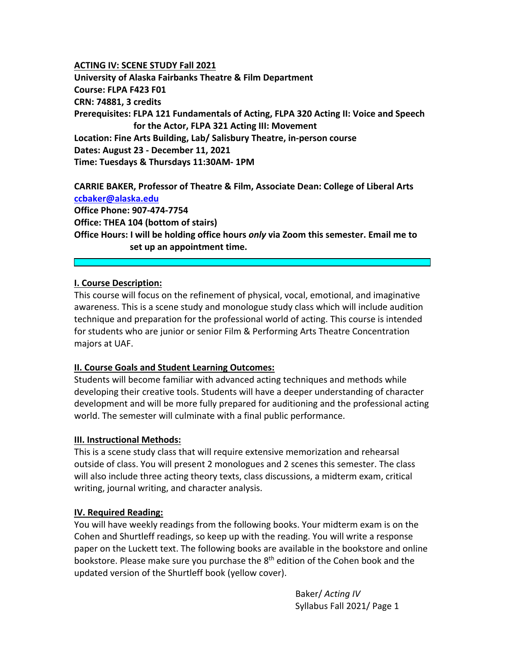#### **ACTING IV: SCENE STUDY Fall 2021**

**University of Alaska Fairbanks Theatre & Film Department Course: FLPA F423 F01 CRN: 74881, 3 credits Prerequisites: FLPA 121 Fundamentals of Acting, FLPA 320 Acting II: Voice and Speech for the Actor, FLPA 321 Acting III: Movement Location: Fine Arts Building, Lab/ Salisbury Theatre, in‐person course Dates: August 23 ‐ December 11, 2021 Time: Tuesdays & Thursdays 11:30AM‐ 1PM** 

**CARRIE BAKER, Professor of Theatre & Film, Associate Dean: College of Liberal Arts ccbaker@alaska.edu Office Phone: 907‐474‐7754 Office: THEA 104 (bottom of stairs) Office Hours: I will be holding office hours** *only* **via Zoom this semester. Email me to set up an appointment time.** 

### **I. Course Description:**

This course will focus on the refinement of physical, vocal, emotional, and imaginative awareness. This is a scene study and monologue study class which will include audition technique and preparation for the professional world of acting. This course is intended for students who are junior or senior Film & Performing Arts Theatre Concentration majors at UAF.

#### **II. Course Goals and Student Learning Outcomes:**

Students will become familiar with advanced acting techniques and methods while developing their creative tools. Students will have a deeper understanding of character development and will be more fully prepared for auditioning and the professional acting world. The semester will culminate with a final public performance.

#### **III. Instructional Methods:**

This is a scene study class that will require extensive memorization and rehearsal outside of class. You will present 2 monologues and 2 scenes this semester. The class will also include three acting theory texts, class discussions, a midterm exam, critical writing, journal writing, and character analysis.

## **IV. Required Reading:**

You will have weekly readings from the following books. Your midterm exam is on the Cohen and Shurtleff readings, so keep up with the reading. You will write a response paper on the Luckett text. The following books are available in the bookstore and online bookstore. Please make sure you purchase the  $8<sup>th</sup>$  edition of the Cohen book and the updated version of the Shurtleff book (yellow cover).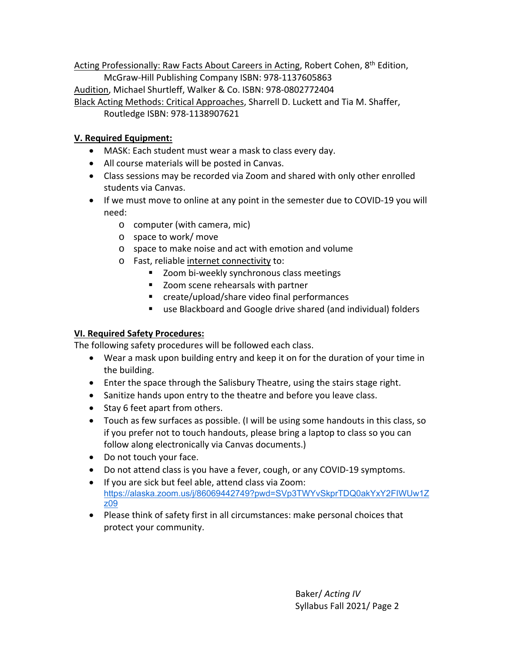Acting Professionally: Raw Facts About Careers in Acting, Robert Cohen, 8<sup>th</sup> Edition, McGraw‐Hill Publishing Company ISBN: 978‐1137605863 Audition, Michael Shurtleff, Walker & Co. ISBN: 978‐0802772404 Black Acting Methods: Critical Approaches, Sharrell D. Luckett and Tia M. Shaffer,

Routledge ISBN: 978‐1138907621

# **V. Required Equipment:**

- MASK: Each student must wear a mask to class every day.
- All course materials will be posted in Canvas.
- Class sessions may be recorded via Zoom and shared with only other enrolled students via Canvas.
- If we must move to online at any point in the semester due to COVID-19 you will need:
	- o computer (with camera, mic)
	- o space to work/ move
	- o space to make noise and act with emotion and volume
	- o Fast, reliable internet connectivity to:
		- Zoom bi-weekly synchronous class meetings
		- **EXECOM** scene rehearsals with partner
		- create/upload/share video final performances
		- use Blackboard and Google drive shared (and individual) folders

# **VI. Required Safety Procedures:**

The following safety procedures will be followed each class.

- Wear a mask upon building entry and keep it on for the duration of your time in the building.
- Enter the space through the Salisbury Theatre, using the stairs stage right.
- Sanitize hands upon entry to the theatre and before you leave class.
- Stay 6 feet apart from others.
- Touch as few surfaces as possible. (I will be using some handouts in this class, so if you prefer not to touch handouts, please bring a laptop to class so you can follow along electronically via Canvas documents.)
- Do not touch your face.
- Do not attend class is you have a fever, cough, or any COVID-19 symptoms.
- If you are sick but feel able, attend class via Zoom: https://alaska.zoom.us/j/86069442749?pwd=SVp3TWYvSkprTDQ0akYxY2FIWUw1Z z09
- Please think of safety first in all circumstances: make personal choices that protect your community.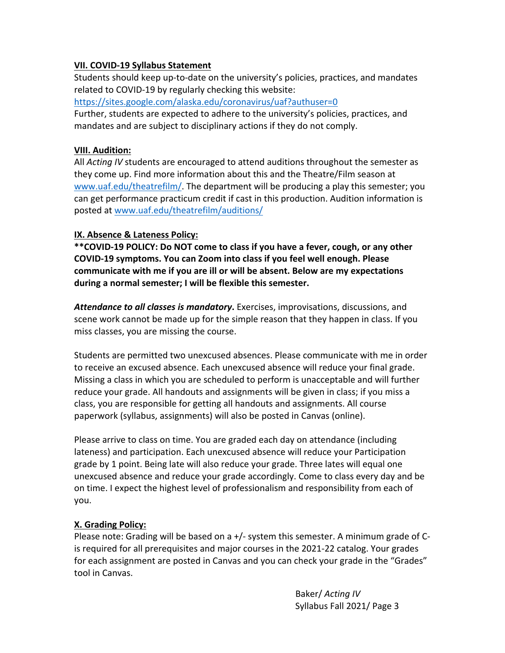## **VII. COVID‐19 Syllabus Statement**

Students should keep up‐to‐date on the university's policies, practices, and mandates related to COVID‐19 by regularly checking this website:

https://sites.google.com/alaska.edu/coronavirus/uaf?authuser=0

Further, students are expected to adhere to the university's policies, practices, and mandates and are subject to disciplinary actions if they do not comply.

### **VIII. Audition:**

All *Acting IV* students are encouraged to attend auditions throughout the semester as they come up. Find more information about this and the Theatre/Film season at www.uaf.edu/theatrefilm/. The department will be producing a play this semester; you can get performance practicum credit if cast in this production. Audition information is posted at www.uaf.edu/theatrefilm/auditions/

## **IX. Absence & Lateness Policy:**

**\*\*COVID‐19 POLICY: Do NOT come to class if you have a fever, cough, or any other COVID‐19 symptoms. You can Zoom into class if you feel well enough. Please communicate with me if you are ill or will be absent. Below are my expectations during a normal semester; I will be flexible this semester.** 

*Attendance to all classes is mandatory***.** Exercises, improvisations, discussions, and scene work cannot be made up for the simple reason that they happen in class. If you miss classes, you are missing the course.

Students are permitted two unexcused absences. Please communicate with me in order to receive an excused absence. Each unexcused absence will reduce your final grade. Missing a class in which you are scheduled to perform is unacceptable and will further reduce your grade. All handouts and assignments will be given in class; if you miss a class, you are responsible for getting all handouts and assignments. All course paperwork (syllabus, assignments) will also be posted in Canvas (online).

Please arrive to class on time. You are graded each day on attendance (including lateness) and participation. Each unexcused absence will reduce your Participation grade by 1 point. Being late will also reduce your grade. Three lates will equal one unexcused absence and reduce your grade accordingly. Come to class every day and be on time. I expect the highest level of professionalism and responsibility from each of you.

## **X. Grading Policy:**

Please note: Grading will be based on a +/‐ system this semester. A minimum grade of C‐ is required for all prerequisites and major courses in the 2021‐22 catalog. Your grades for each assignment are posted in Canvas and you can check your grade in the "Grades" tool in Canvas.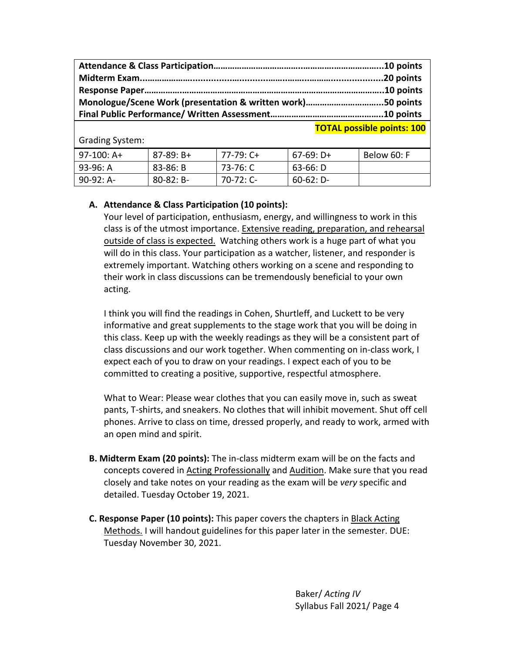**TOTAL possible points: 100**

Grading System:

| 97-100: A+ | $87-89: B+$    | $77-79:$ C+ | $67-69: D+$ | Below 60: F |
|------------|----------------|-------------|-------------|-------------|
| 93-96: A   | 83-86: B       | 73-76: C    | 63-66: D    |             |
| 90-92: A-  | $80 - 82$ : B- | $70-72:$ C- | $60-62: D-$ |             |

### **A. Attendance & Class Participation (10 points):**

Your level of participation, enthusiasm, energy, and willingness to work in this class is of the utmost importance. Extensive reading, preparation, and rehearsal outside of class is expected. Watching others work is a huge part of what you will do in this class. Your participation as a watcher, listener, and responder is extremely important. Watching others working on a scene and responding to their work in class discussions can be tremendously beneficial to your own acting.

I think you will find the readings in Cohen, Shurtleff, and Luckett to be very informative and great supplements to the stage work that you will be doing in this class. Keep up with the weekly readings as they will be a consistent part of class discussions and our work together. When commenting on in‐class work, I expect each of you to draw on your readings. I expect each of you to be committed to creating a positive, supportive, respectful atmosphere.

What to Wear: Please wear clothes that you can easily move in, such as sweat pants, T‐shirts, and sneakers. No clothes that will inhibit movement. Shut off cell phones. Arrive to class on time, dressed properly, and ready to work, armed with an open mind and spirit.

- **B. Midterm Exam (20 points):** The in‐class midterm exam will be on the facts and concepts covered in Acting Professionally and Audition. Make sure that you read closely and take notes on your reading as the exam will be *very* specific and detailed. Tuesday October 19, 2021.
- **C. Response Paper (10 points):** This paper covers the chapters in Black Acting Methods. I will handout guidelines for this paper later in the semester. DUE: Tuesday November 30, 2021.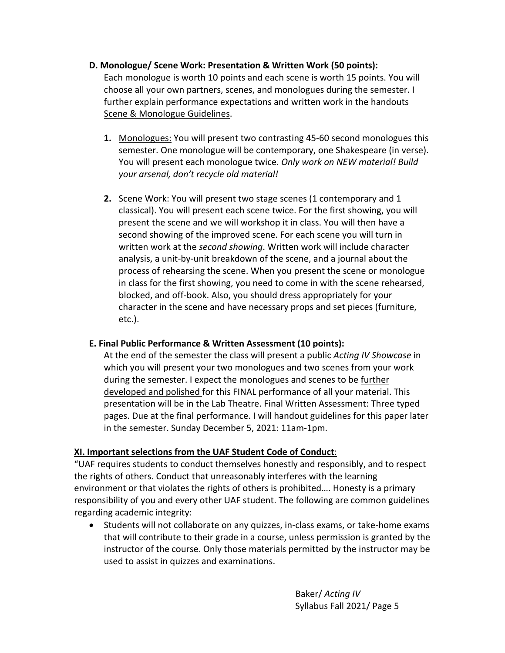### **D. Monologue/ Scene Work: Presentation & Written Work (50 points):**

Each monologue is worth 10 points and each scene is worth 15 points. You will choose all your own partners, scenes, and monologues during the semester. I further explain performance expectations and written work in the handouts Scene & Monologue Guidelines.

- **1.** Monologues: You will present two contrasting 45‐60 second monologues this semester. One monologue will be contemporary, one Shakespeare (in verse). You will present each monologue twice. *Only work on NEW material! Build your arsenal, don't recycle old material!*
- **2.** Scene Work: You will present two stage scenes (1 contemporary and 1 classical). You will present each scene twice. For the first showing, you will present the scene and we will workshop it in class. You will then have a second showing of the improved scene. For each scene you will turn in written work at the *second showing*. Written work will include character analysis, a unit‐by‐unit breakdown of the scene, and a journal about the process of rehearsing the scene. When you present the scene or monologue in class for the first showing, you need to come in with the scene rehearsed, blocked, and off‐book. Also, you should dress appropriately for your character in the scene and have necessary props and set pieces (furniture, etc.).

## **E. Final Public Performance & Written Assessment (10 points):**

At the end of the semester the class will present a public *Acting IV Showcase* in which you will present your two monologues and two scenes from your work during the semester. I expect the monologues and scenes to be further developed and polished for this FINAL performance of all your material. This presentation will be in the Lab Theatre. Final Written Assessment: Three typed pages. Due at the final performance. I will handout guidelines for this paper later in the semester. Sunday December 5, 2021: 11am‐1pm.

## **XI. Important selections from the UAF Student Code of Conduct**:

"UAF requires students to conduct themselves honestly and responsibly, and to respect the rights of others. Conduct that unreasonably interferes with the learning environment or that violates the rights of others is prohibited…. Honesty is a primary responsibility of you and every other UAF student. The following are common guidelines regarding academic integrity:

● Students will not collaborate on any quizzes, in-class exams, or take-home exams that will contribute to their grade in a course, unless permission is granted by the instructor of the course. Only those materials permitted by the instructor may be used to assist in quizzes and examinations.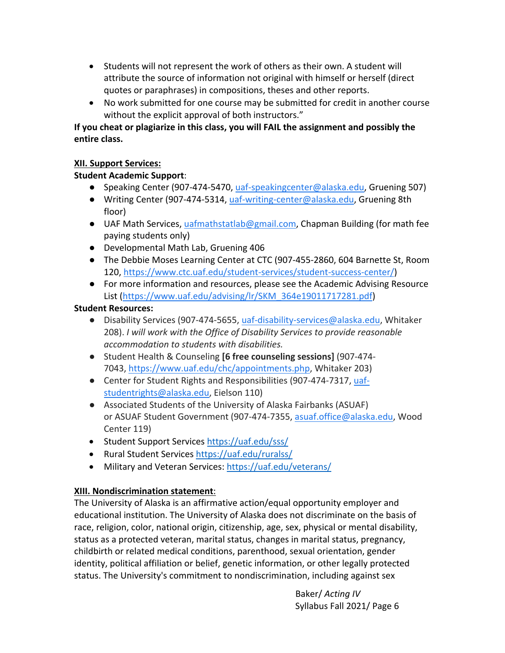- Students will not represent the work of others as their own. A student will attribute the source of information not original with himself or herself (direct quotes or paraphrases) in compositions, theses and other reports.
- No work submitted for one course may be submitted for credit in another course without the explicit approval of both instructors."

**If you cheat or plagiarize in this class, you will FAIL the assignment and possibly the entire class.** 

# **XII. Support Services:**

# **Student Academic Support**:

- Speaking Center (907-474-5470, uaf-speakingcenter@alaska.edu, Gruening 507)
- Writing Center (907-474-5314, uaf-writing-center@alaska.edu, Gruening 8th floor)
- UAF Math Services, uafmathstatlab@gmail.com, Chapman Building (for math fee paying students only)
- Developmental Math Lab, Gruening 406
- The Debbie Moses Learning Center at CTC (907‐455‐2860, 604 Barnette St, Room 120, https://www.ctc.uaf.edu/student‐services/student‐success‐center/)
- For more information and resources, please see the Academic Advising Resource List (https://www.uaf.edu/advising/lr/SKM\_364e19011717281.pdf)

# **Student Resources:**

- Disability Services (907-474-5655, uaf-disability-services@alaska.edu, Whitaker 208). *I will work with the Office of Disability Services to provide reasonable accommodation to students with disabilities.*
- Student Health & Counseling **[6 free counseling sessions]** (907‐474‐ 7043, https://www.uaf.edu/chc/appointments.php, Whitaker 203)
- Center for Student Rights and Responsibilities (907-474-7317, uafstudentrights@alaska.edu, Eielson 110)
- Associated Students of the University of Alaska Fairbanks (ASUAF) or ASUAF Student Government (907‐474‐7355, asuaf.office@alaska.edu, Wood Center 119)
- Student Support Services https://uaf.edu/sss/
- Rural Student Services https://uaf.edu/ruralss/
- Military and Veteran Services: https://uaf.edu/veterans/

# **XIII. Nondiscrimination statement**:

The University of Alaska is an affirmative action/equal opportunity employer and educational institution. The University of Alaska does not discriminate on the basis of race, religion, color, national origin, citizenship, age, sex, physical or mental disability, status as a protected veteran, marital status, changes in marital status, pregnancy, childbirth or related medical conditions, parenthood, sexual orientation, gender identity, political affiliation or belief, genetic information, or other legally protected status. The University's commitment to nondiscrimination, including against sex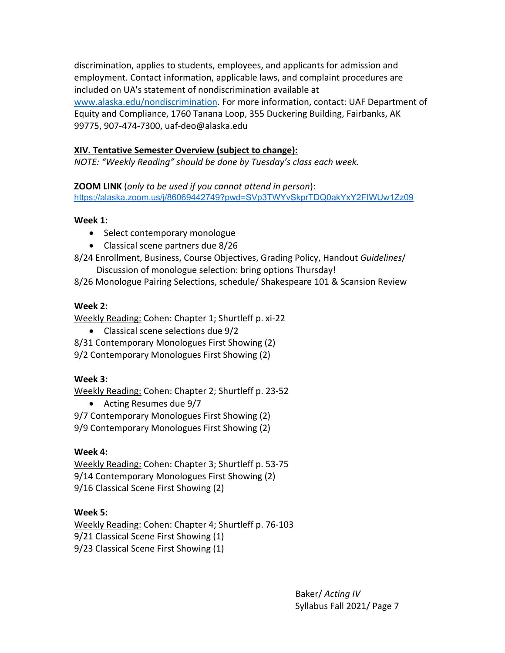discrimination, applies to students, employees, and applicants for admission and employment. Contact information, applicable laws, and complaint procedures are included on UA's statement of nondiscrimination available at www.alaska.edu/nondiscrimination. For more information, contact: UAF Department of Equity and Compliance, 1760 Tanana Loop, 355 Duckering Building, Fairbanks, AK 99775, 907‐474‐7300, uaf‐deo@alaska.edu

# **XIV. Tentative Semester Overview (subject to change):**

*NOTE: "Weekly Reading" should be done by Tuesday's class each week.* 

**ZOOM LINK** (*only to be used if you cannot attend in person*): https://alaska.zoom.us/j/86069442749?pwd=SVp3TWYvSkprTDQ0akYxY2FIWUw1Zz09

# **Week 1:**

- Select contemporary monologue
- Classical scene partners due 8/26
- 8/24 Enrollment, Business, Course Objectives, Grading Policy, Handout *Guidelines*/
	- Discussion of monologue selection: bring options Thursday!
- 8/26 Monologue Pairing Selections, schedule/ Shakespeare 101 & Scansion Review

# **Week 2:**

Weekly Reading: Cohen: Chapter 1; Shurtleff p. xi‐22

- Classical scene selections due 9/2
- 8/31 Contemporary Monologues First Showing (2)
- 9/2 Contemporary Monologues First Showing (2)

# **Week 3:**

Weekly Reading: Cohen: Chapter 2; Shurtleff p. 23‐52

- Acting Resumes due 9/7
- 9/7 Contemporary Monologues First Showing (2)
- 9/9 Contemporary Monologues First Showing (2)

## **Week 4:**

Weekly Reading: Cohen: Chapter 3; Shurtleff p. 53‐75 9/14 Contemporary Monologues First Showing (2) 9/16 Classical Scene First Showing (2)

# **Week 5:**

Weekly Reading: Cohen: Chapter 4; Shurtleff p. 76‐103 9/21 Classical Scene First Showing (1) 9/23 Classical Scene First Showing (1)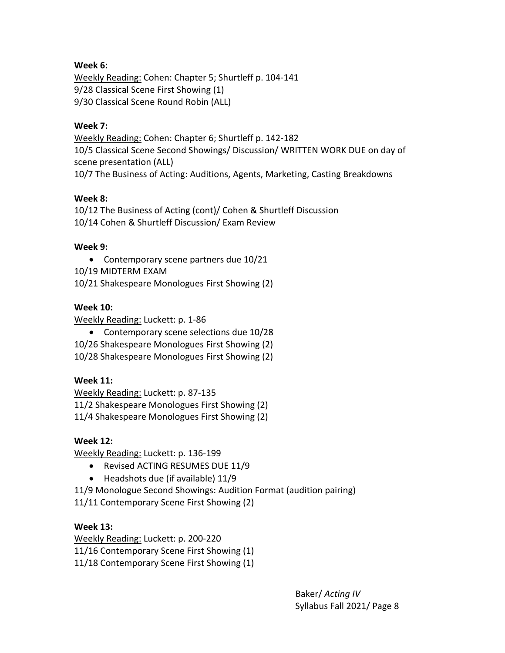# **Week 6:**

Weekly Reading: Cohen: Chapter 5; Shurtleff p. 104‐141 9/28 Classical Scene First Showing (1) 9/30 Classical Scene Round Robin (ALL)

### **Week 7:**

Weekly Reading: Cohen: Chapter 6; Shurtleff p. 142‐182 10/5 Classical Scene Second Showings/ Discussion/ WRITTEN WORK DUE on day of scene presentation (ALL) 10/7 The Business of Acting: Auditions, Agents, Marketing, Casting Breakdowns

## **Week 8:**

10/12 The Business of Acting (cont)/ Cohen & Shurtleff Discussion 10/14 Cohen & Shurtleff Discussion/ Exam Review

### **Week 9:**

 Contemporary scene partners due 10/21 10/19 MIDTERM EXAM 10/21 Shakespeare Monologues First Showing (2)

## **Week 10:**

Weekly Reading: Luckett: p. 1‐86

 Contemporary scene selections due 10/28 10/26 Shakespeare Monologues First Showing (2) 10/28 Shakespeare Monologues First Showing (2)

## **Week 11:**

Weekly Reading: Luckett: p. 87‐135 11/2 Shakespeare Monologues First Showing (2) 11/4 Shakespeare Monologues First Showing (2)

#### **Week 12:**

Weekly Reading: Luckett: p. 136‐199

- Revised ACTING RESUMES DUE 11/9
- $\bullet$  Headshots due (if available) 11/9
- 11/9 Monologue Second Showings: Audition Format (audition pairing)

11/11 Contemporary Scene First Showing (2)

## **Week 13:**

Weekly Reading: Luckett: p. 200‐220 11/16 Contemporary Scene First Showing (1) 11/18 Contemporary Scene First Showing (1)